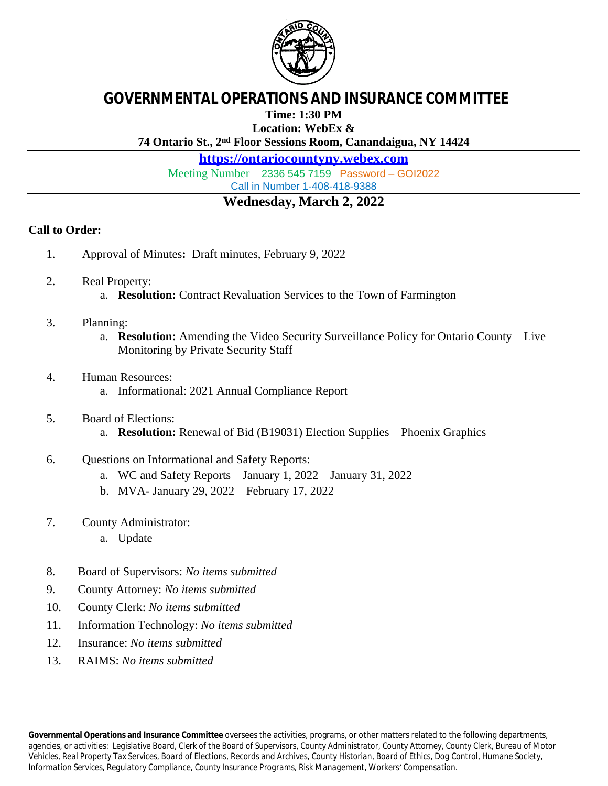

## **GOVERNMENTAL OPERATIONS AND INSURANCE COMMITTEE**

**Time: 1:30 PM**

**Location: WebEx &**

**74 Ontario St., 2nd Floor Sessions Room, Canandaigua, NY 14424**

**<https://ontariocountyny.webex.com>**

Meeting Number – 2336 545 7159 Password – GOI2022 Call in Number 1-408-418-9388

## **Wednesday, March 2, 2022**

## **Call to Order:**

- 1. Approval of Minutes**:** Draft minutes, February 9, 2022
- 2. Real Property: a. **Resolution:** Contract Revaluation Services to the Town of Farmington
- 3. Planning:
	- a. **Resolution:** Amending the Video Security Surveillance Policy for Ontario County Live Monitoring by Private Security Staff
- 4. Human Resources: a. Informational: 2021 Annual Compliance Report
- 5. Board of Elections:
	- a. **Resolution:** Renewal of Bid (B19031) Election Supplies Phoenix Graphics
- 6. Questions on Informational and Safety Reports:
	- a. WC and Safety Reports January 1, 2022 January 31, 2022
	- b. MVA- January 29, 2022 February 17, 2022
- 7. County Administrator:
	- a. Update
- 8. Board of Supervisors: *No items submitted*
- 9. County Attorney: *No items submitted*
- 10. County Clerk: *No items submitted*
- 11. Information Technology: *No items submitted*
- 12. Insurance: *No items submitted*
- 13. RAIMS: *No items submitted*